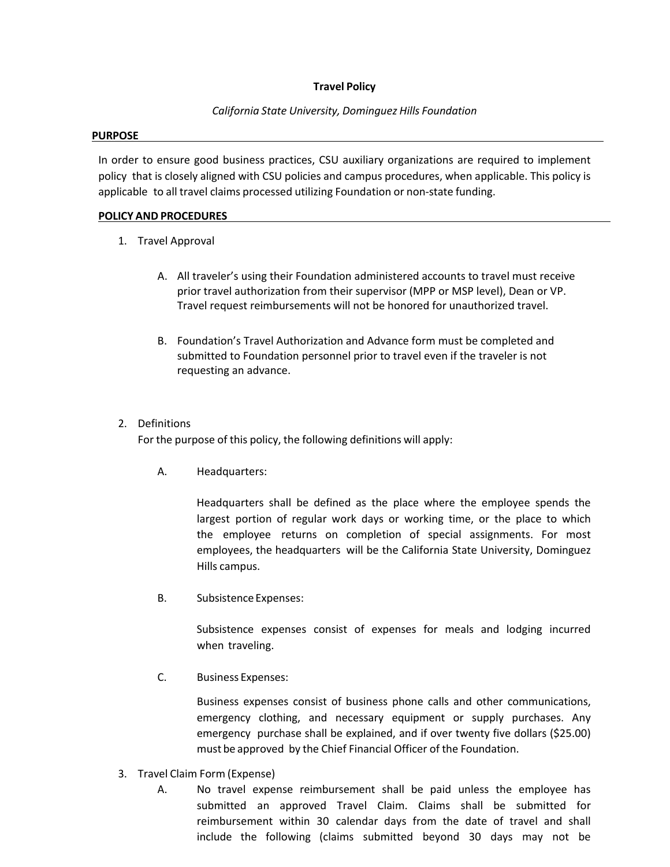# **Travel Policy**

# *California State University, Dominguez Hills Foundation*

#### **PURPOSE**

In order to ensure good business practices, CSU auxiliary organizations are required to implement policy that is closely aligned with CSU policies and campus procedures, when applicable. This policy is applicable to all travel claims processed utilizing Foundation or non‐state funding.

#### **POLICY AND PROCEDURES**

- 1. Travel Approval
	- A. All traveler's using their Foundation administered accounts to travel must receive prior travel authorization from their supervisor (MPP or MSP level), Dean or VP. Travel request reimbursements will not be honored for unauthorized travel.
	- B. Foundation's Travel Authorization and Advance form must be completed and submitted to Foundation personnel prior to travel even if the traveler is not requesting an advance.

### 2. Definitions

For the purpose of this policy, the following definitions will apply:

A. Headquarters:

Headquarters shall be defined as the place where the employee spends the largest portion of regular work days or working time, or the place to which the employee returns on completion of special assignments. For most employees, the headquarters will be the California State University, Dominguez Hills campus.

B. Subsistence Expenses:

Subsistence expenses consist of expenses for meals and lodging incurred when traveling.

C. Business Expenses:

Business expenses consist of business phone calls and other communications, emergency clothing, and necessary equipment or supply purchases. Any emergency purchase shall be explained, and if over twenty five dollars (\$25.00) must be approved by the Chief Financial Officer of the Foundation.

- 3. Travel Claim Form (Expense)
	- A. No travel expense reimbursement shall be paid unless the employee has submitted an approved Travel Claim. Claims shall be submitted for reimbursement within 30 calendar days from the date of travel and shall include the following (claims submitted beyond 30 days may not be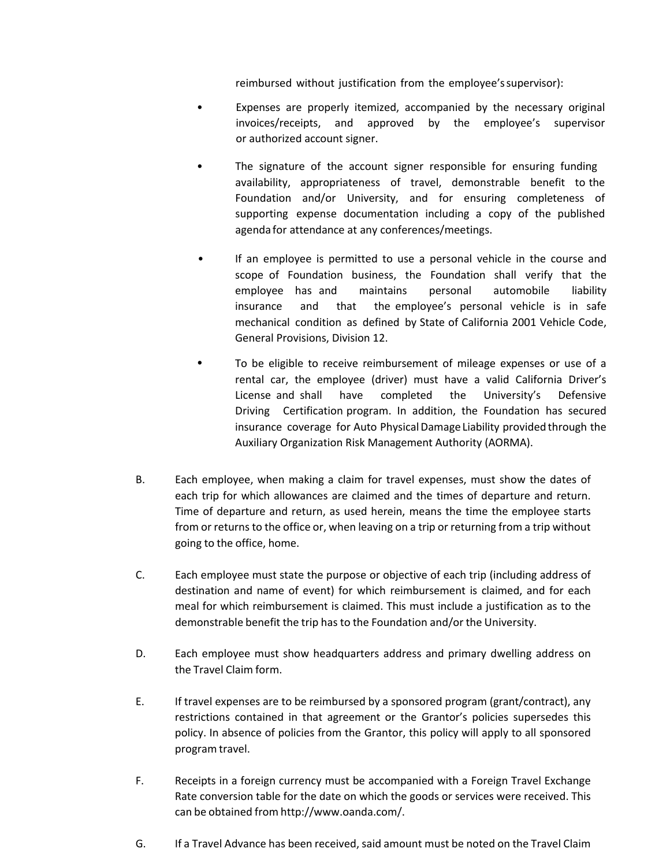reimbursed without justification from the employee'ssupervisor):

- Expenses are properly itemized, accompanied by the necessary original invoices/receipts, and approved by the employee's supervisor or authorized account signer.
- The signature of the account signer responsible for ensuring funding availability, appropriateness of travel, demonstrable benefit to the Foundation and/or University, and for ensuring completeness of supporting expense documentation including a copy of the published agenda for attendance at any conferences/meetings.
- If an employee is permitted to use a personal vehicle in the course and scope of Foundation business, the Foundation shall verify that the employee has and maintains personal automobile liability insurance and that the employee's personal vehicle is in safe mechanical condition as defined by State of California 2001 Vehicle Code, General Provisions, Division 12.
- To be eligible to receive reimbursement of mileage expenses or use of a rental car, the employee (driver) must have a valid California Driver's License and shall have completed the University's Defensive Driving Certification program. In addition, the Foundation has secured insurance coverage for Auto PhysicalDamage Liability provided through the Auxiliary Organization Risk Management Authority (AORMA).
- B. Each employee, when making a claim for travel expenses, must show the dates of each trip for which allowances are claimed and the times of departure and return. Time of departure and return, as used herein, means the time the employee starts from or returns to the office or, when leaving on a trip or returning from a trip without going to the office, home.
- C. Each employee must state the purpose or objective of each trip (including address of destination and name of event) for which reimbursement is claimed, and for each meal for which reimbursement is claimed. This must include a justification as to the demonstrable benefit the trip has to the Foundation and/or the University.
- D. Each employee must show headquarters address and primary dwelling address on the Travel Claim form.
- E. If travel expenses are to be reimbursed by a sponsored program (grant/contract), any restrictions contained in that agreement or the Grantor's policies supersedes this policy. In absence of policies from the Grantor, this policy will apply to all sponsored programtravel.
- F. Receipts in a foreign currency must be accompanied with a Foreign Travel Exchange Rate conversion table for the date on which the goods or services were received. This can be obtained from http://www.oanda.com/.
- G. If a Travel Advance has been received, said amount must be noted on the Travel Claim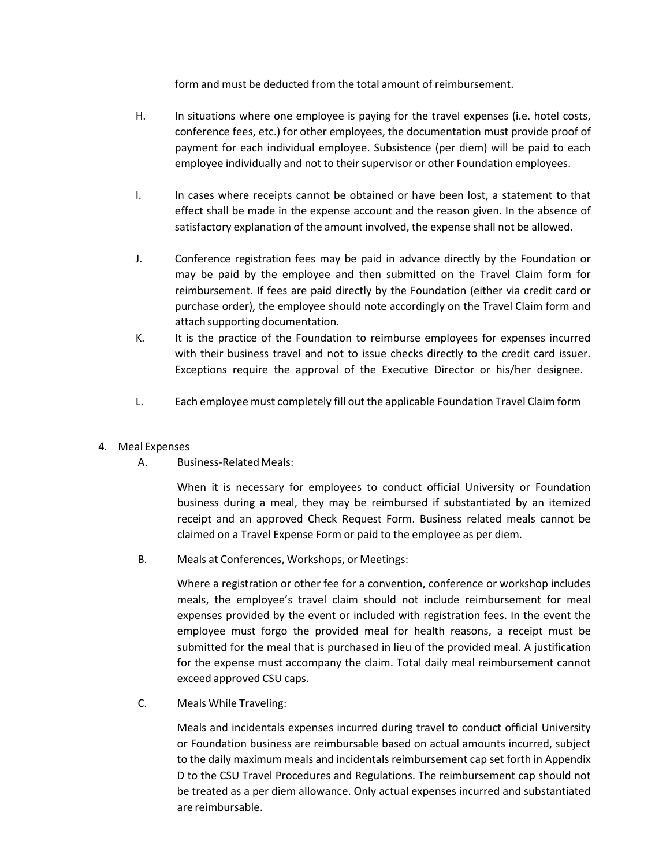form and must be deducted from the total amount of reimbursement.

- H. In situations where one employee is paying for the travel expenses (i.e. hotel costs, conference fees, etc.) for other employees, the documentation must provide proof of payment for each individual employee. Subsistence (per diem) will be paid to each employee individually and not to theirsupervisor or other Foundation employees.
- I. In cases where receipts cannot be obtained or have been lost, a statement to that effect shall be made in the expense account and the reason given. In the absence of satisfactory explanation of the amount involved, the expense shall not be allowed.
- J. Conference registration fees may be paid in advance directly by the Foundation or may be paid by the employee and then submitted on the Travel Claim form for reimbursement. If fees are paid directly by the Foundation (either via credit card or purchase order), the employee should note accordingly on the Travel Claim form and attach supporting documentation.
- K. It is the practice of the Foundation to reimburse employees for expenses incurred with their business travel and not to issue checks directly to the credit card issuer. Exceptions require the approval of the Executive Director or his/her designee.
- L. Each employee must completely fill out the applicable Foundation Travel Claim form

### 4. Meal Expenses

A. Business‐RelatedMeals:

When it is necessary for employees to conduct official University or Foundation business during a meal, they may be reimbursed if substantiated by an itemized receipt and an approved Check Request Form. Business related meals cannot be claimed on a Travel Expense Form or paid to the employee as per diem.

B. Meals at Conferences, Workshops, or Meetings:

Where a registration or other fee for a convention, conference or workshop includes meals, the employee's travel claim should not include reimbursement for meal expenses provided by the event or included with registration fees. In the event the employee must forgo the provided meal for health reasons, a receipt must be submitted for the meal that is purchased in lieu of the provided meal. A justification for the expense must accompany the claim. Total daily meal reimbursement cannot exceed approved CSU caps.

C. Meals While Traveling:

Meals and incidentals expenses incurred during travel to conduct official University or Foundation business are reimbursable based on actual amounts incurred, subject to the daily maximum meals and incidentals reimbursement cap set forth in Appendix D to the CSU Travel Procedures and Regulations. The reimbursement cap should not be treated as a per diem allowance. Only actual expenses incurred and substantiated are reimbursable.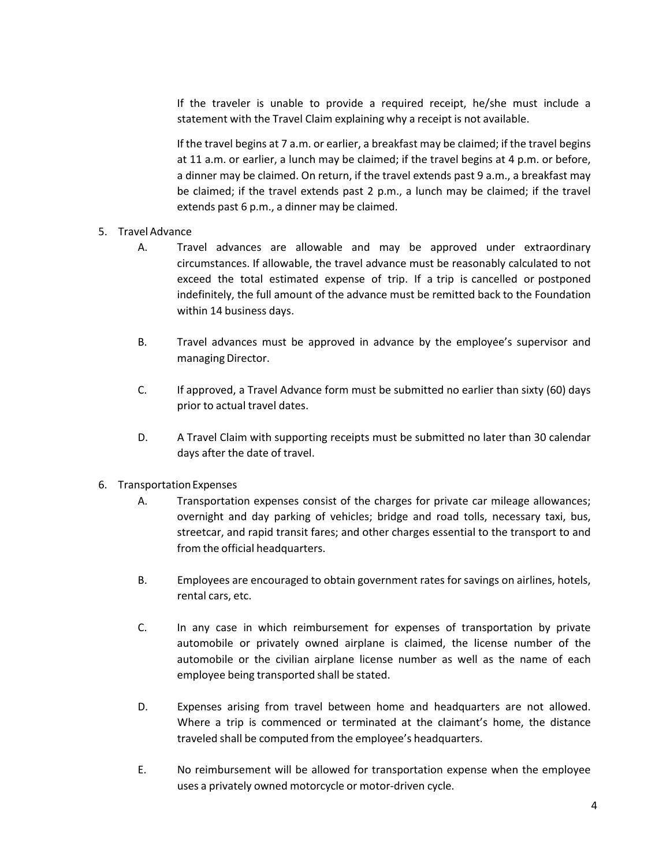If the traveler is unable to provide a required receipt, he/she must include a statement with the Travel Claim explaining why a receipt is not available.

If the travel begins at 7 a.m. or earlier, a breakfast may be claimed; if the travel begins at 11 a.m. or earlier, a lunch may be claimed; if the travel begins at 4 p.m. or before, a dinner may be claimed. On return, if the travel extends past 9 a.m., a breakfast may be claimed; if the travel extends past 2 p.m., a lunch may be claimed; if the travel extends past 6 p.m., a dinner may be claimed.

# 5. Travel Advance

- A. Travel advances are allowable and may be approved under extraordinary circumstances. If allowable, the travel advance must be reasonably calculated to not exceed the total estimated expense of trip. If a trip is cancelled or postponed indefinitely, the full amount of the advance must be remitted back to the Foundation within 14 business days.
- B. Travel advances must be approved in advance by the employee's supervisor and managing Director.
- C. If approved, a Travel Advance form must be submitted no earlier than sixty (60) days prior to actual travel dates.
- D. A Travel Claim with supporting receipts must be submitted no later than 30 calendar days after the date of travel.
- 6. TransportationExpenses
	- A. Transportation expenses consist of the charges for private car mileage allowances; overnight and day parking of vehicles; bridge and road tolls, necessary taxi, bus, streetcar, and rapid transit fares; and other charges essential to the transport to and from the official headquarters.
	- B. Employees are encouraged to obtain government rates for savings on airlines, hotels, rental cars, etc.
	- C. In any case in which reimbursement for expenses of transportation by private automobile or privately owned airplane is claimed, the license number of the automobile or the civilian airplane license number as well as the name of each employee being transported shall be stated.
	- D. Expenses arising from travel between home and headquarters are not allowed. Where a trip is commenced or terminated at the claimant's home, the distance traveled shall be computed from the employee's headquarters.
	- E. No reimbursement will be allowed for transportation expense when the employee uses a privately owned motorcycle or motor‐driven cycle.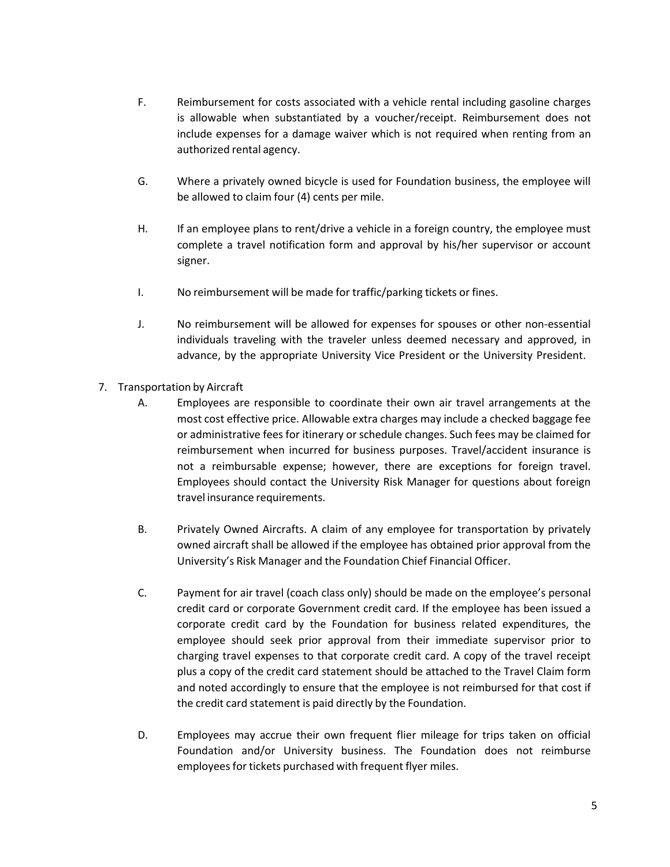- F. Reimbursement for costs associated with a vehicle rental including gasoline charges is allowable when substantiated by a voucher/receipt. Reimbursement does not include expenses for a damage waiver which is not required when renting from an authorized rental agency.
- G. Where a privately owned bicycle is used for Foundation business, the employee will be allowed to claim four (4) cents per mile.
- H. If an employee plans to rent/drive a vehicle in a foreign country, the employee must complete a travel notification form and approval by his/her supervisor or account signer.
- I. No reimbursement will be made for traffic/parking tickets or fines.
- J. No reimbursement will be allowed for expenses for spouses or other non‐essential individuals traveling with the traveler unless deemed necessary and approved, in advance, by the appropriate University Vice President or the University President.
- 7. Transportation by Aircraft
	- A. Employees are responsible to coordinate their own air travel arrangements at the most cost effective price. Allowable extra charges may include a checked baggage fee or administrative fees for itinerary or schedule changes. Such fees may be claimed for reimbursement when incurred for business purposes. Travel/accident insurance is not a reimbursable expense; however, there are exceptions for foreign travel. Employees should contact the University Risk Manager for questions about foreign travel insurance requirements.
	- B. Privately Owned Aircrafts. A claim of any employee for transportation by privately owned aircraft shall be allowed if the employee has obtained prior approval from the University's Risk Manager and the Foundation Chief Financial Officer.
	- C. Payment for air travel (coach class only) should be made on the employee's personal credit card or corporate Government credit card. If the employee has been issued a corporate credit card by the Foundation for business related expenditures, the employee should seek prior approval from their immediate supervisor prior to charging travel expenses to that corporate credit card. A copy of the travel receipt plus a copy of the credit card statement should be attached to the Travel Claim form and noted accordingly to ensure that the employee is not reimbursed for that cost if the credit card statement is paid directly by the Foundation.
	- D. Employees may accrue their own frequent flier mileage for trips taken on official Foundation and/or University business. The Foundation does not reimburse employees for tickets purchased with frequent flyer miles.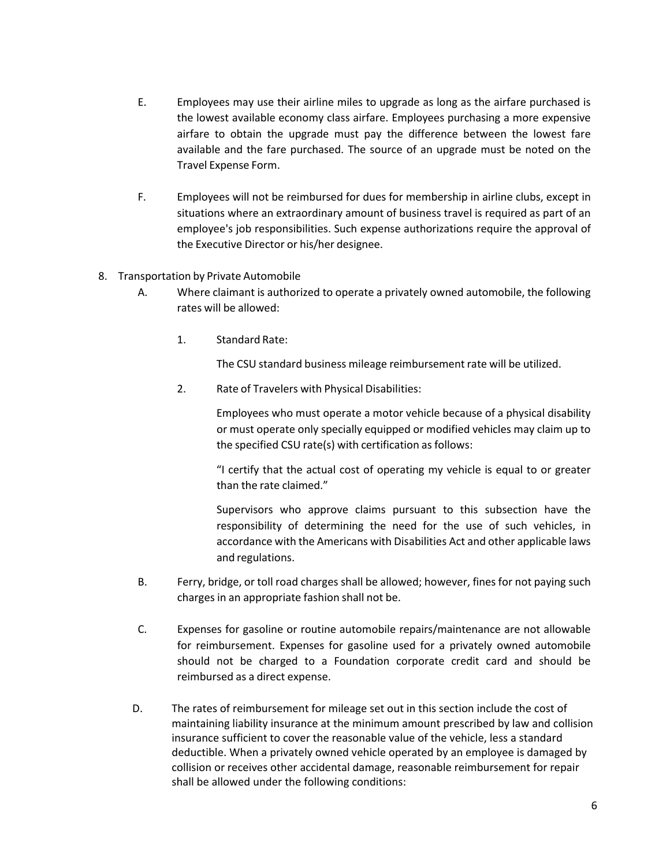- E. Employees may use their airline miles to upgrade as long as the airfare purchased is the lowest available economy class airfare. Employees purchasing a more expensive airfare to obtain the upgrade must pay the difference between the lowest fare available and the fare purchased. The source of an upgrade must be noted on the Travel Expense Form.
- F. Employees will not be reimbursed for dues for membership in airline clubs, except in situations where an extraordinary amount of business travel is required as part of an employee's job responsibilities. Such expense authorizations require the approval of the Executive Director or his/her designee.
- 8. Transportation by Private Automobile
	- A. Where claimant is authorized to operate a privately owned automobile, the following rates will be allowed:
		- 1. Standard Rate:

The CSU standard business mileage reimbursement rate will be utilized.

2. Rate of Travelers with Physical Disabilities:

Employees who must operate a motor vehicle because of a physical disability or must operate only specially equipped or modified vehicles may claim up to the specified CSU rate(s) with certification as follows:

"I certify that the actual cost of operating my vehicle is equal to or greater than the rate claimed."

Supervisors who approve claims pursuant to this subsection have the responsibility of determining the need for the use of such vehicles, in accordance with the Americans with Disabilities Act and other applicable laws and regulations.

- B. Ferry, bridge, or toll road charges shall be allowed; however, fines for not paying such charges in an appropriate fashion shall not be.
- C. Expenses for gasoline or routine automobile repairs/maintenance are not allowable for reimbursement. Expenses for gasoline used for a privately owned automobile should not be charged to a Foundation corporate credit card and should be reimbursed as a direct expense.
- D. The rates of reimbursement for mileage set out in this section include the cost of maintaining liability insurance at the minimum amount prescribed by law and collision insurance sufficient to cover the reasonable value of the vehicle, less a standard deductible. When a privately owned vehicle operated by an employee is damaged by collision or receives other accidental damage, reasonable reimbursement for repair shall be allowed under the following conditions: